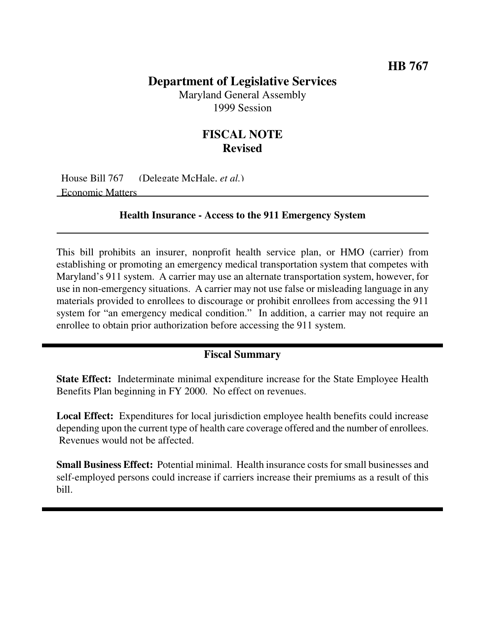## **Department of Legislative Services**

Maryland General Assembly 1999 Session

## **FISCAL NOTE Revised**

House Bill 767 (Delegate McHale, *et al.*) Economic Matters

**Health Insurance - Access to the 911 Emergency System**

This bill prohibits an insurer, nonprofit health service plan, or HMO (carrier) from establishing or promoting an emergency medical transportation system that competes with Maryland's 911 system. A carrier may use an alternate transportation system, however, for use in non-emergency situations. A carrier may not use false or misleading language in any materials provided to enrollees to discourage or prohibit enrollees from accessing the 911 system for "an emergency medical condition." In addition, a carrier may not require an enrollee to obtain prior authorization before accessing the 911 system.

## **Fiscal Summary**

**State Effect:** Indeterminate minimal expenditure increase for the State Employee Health Benefits Plan beginning in FY 2000. No effect on revenues.

**Local Effect:** Expenditures for local jurisdiction employee health benefits could increase depending upon the current type of health care coverage offered and the number of enrollees. Revenues would not be affected.

**Small Business Effect:** Potential minimal. Health insurance costs for small businesses and self-employed persons could increase if carriers increase their premiums as a result of this bill.